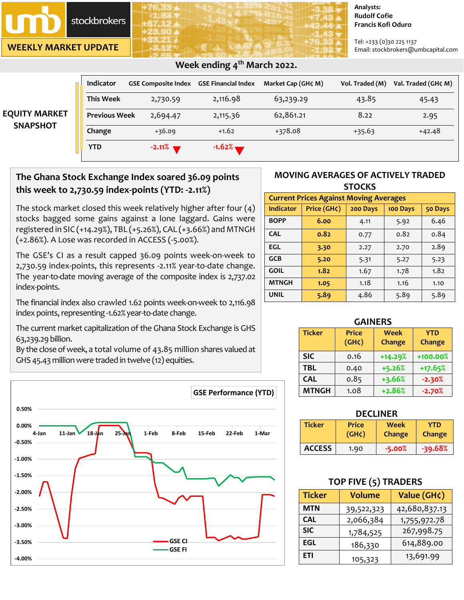# stockbrokers

**WEEKLY MARKET UPDATE**

#### **Analysts: Rudolf Cofie Francis Kofi Oduro**

Tel: +233 (0)30 225 1137 Email: stockbrokers@umbcapital.com

| <b>EQUITY MARKET</b><br><b>SNAPSHOT</b> | <b>Indicator</b>     | <b>GSE Composite Index</b> | <b>GSE Financial Index</b> | Market Cap (GH¢ M) | Vol. Traded (M) | Val. Traded (GH¢ M) |
|-----------------------------------------|----------------------|----------------------------|----------------------------|--------------------|-----------------|---------------------|
|                                         | <b>This Week</b>     | 2,730.59                   | 2,116.98                   | 63,239.29          | 43.85           | 45.43               |
|                                         | <b>Previous Week</b> | 2,694.47                   | 2,115.36                   | 62,861.21          | 8.22            | 2.95                |
|                                         | Change               | $+36.09$                   | $+1.62$                    | $+378.08$          | $+35.63$        | $+42.48$            |
|                                         | <b>YTD</b>           | $-2.11\%$                  | $-1.62%$                   |                    |                 |                     |

### **Week ending 4 th March 2022.**

## **The Ghana Stock Exchange Index soared 36.09 points this week to 2,730.59 index-points (YTD: -2.11%)**

The stock market closed this week relatively higher after four (4) stocks bagged some gains against a lone laggard. Gains were registered in SIC (+14.29%), TBL (+5.26%), CAL (+3.66%) and MTNGH (+2.86%). A Lose was recorded in ACCESS (-5.00%).

The GSE's CI as a result capped 36.09 points week-on-week to 2,730.59 index-points, this represents -2.11% year-to-date change. The year-to-date moving average of the composite index is 2,737.02 index-points.

The financial index also crawled 1.62 points week-on-week to 2,116.98 index points, representing -1.62% year-to-date change.

The current market capitalization of the Ghana Stock Exchange is GHS 63,239.29 billion.

By the close of week, a total volume of 43.85 million shares valued at GHS 45.43 million were traded in twelve (12) equities.



#### **MOVING AVERAGES OF ACTIVELY TRADED STOCKS**

| <b>Current Prices Against Moving Averages</b> |             |          |          |         |  |
|-----------------------------------------------|-------------|----------|----------|---------|--|
| Indicator                                     | Price (GH¢) | 200 Days | 100 Days | 50 Days |  |
| <b>BOPP</b>                                   | 6.00        | 4.11     | 5.92     | 6.46    |  |
| <b>CAL</b>                                    | 0.82        | 0.77     | 0.82     | 0.84    |  |
| EGL                                           | 3.30        | 2.27     | 2.70     | 2.89    |  |
| <b>GCB</b>                                    | 5.20        | 5.31     | 5.27     | 5.23    |  |
| <b>GOIL</b>                                   | 1.82        | 1.67     | 1.78     | 1.82    |  |
| <b>MTNGH</b>                                  | 1.05        | 1.18     | 1.16     | 1.10    |  |
| <b>UNIL</b>                                   | 5.89        | 4.86     | 5.89     | 5.89    |  |

| <b>GAINERS</b> |                                    |                       |                      |  |  |  |
|----------------|------------------------------------|-----------------------|----------------------|--|--|--|
| <b>Ticker</b>  | <b>Price</b><br>(GH <sub>c</sub> ) | <b>Week</b><br>Change | <b>YTD</b><br>Change |  |  |  |
| <b>SIC</b>     | 0.16                               | $+14.29%$             | +100.00%             |  |  |  |
| <b>TBL</b>     | 0.40                               | $+5.26%$              | $+17.65%$            |  |  |  |
| <b>CAL</b>     | 0.85                               | $+3.66%$              | $-2.30%$             |  |  |  |
| <b>MTNGH</b>   | 1.08                               | $+2.86%$              | $-2.70%$             |  |  |  |

| <b>DECLINER</b> |                             |                |                             |  |  |
|-----------------|-----------------------------|----------------|-----------------------------|--|--|
| <b>Ticker</b>   | <b>Price</b><br>$(GH\zeta)$ | Week<br>Change | <b>YTD</b><br><b>Change</b> |  |  |
| <b>ACCESS</b>   | 1.90                        | $-5.00%$       | $-39.68%$                   |  |  |

### **TOP FIVE (5) TRADERS**

| <b>Ticker</b> | <b>Volume</b> | Value (GH¢)   |
|---------------|---------------|---------------|
| <b>MTN</b>    | 39,522,323    | 42,680,837.13 |
| <b>CAL</b>    | 2,066,384     | 1,755,972.78  |
| <b>SIC</b>    | 1,784,525     | 267,998.75    |
| <b>EGL</b>    | 186,330       | 614,889.00    |
| ETI           | 105,323       | 13,691.99     |